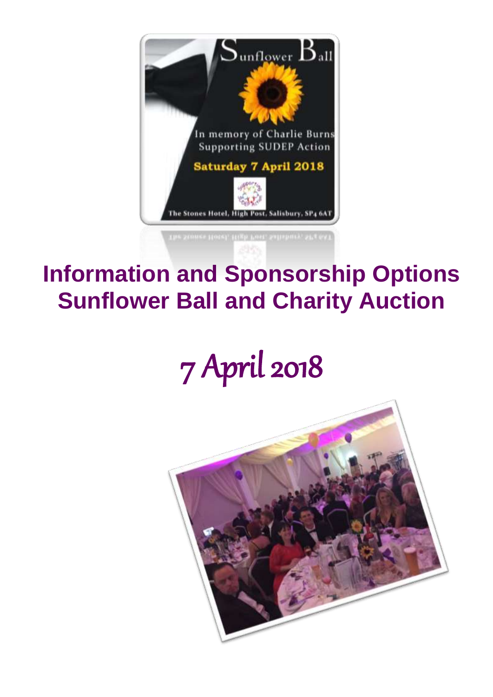

# **Information and Sponsorship Options Sunflower Ball and Charity Auction**

# 7 April 2018

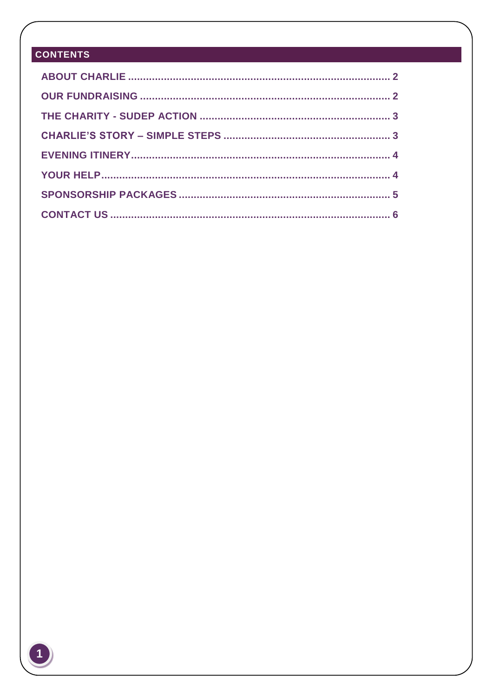# **CONTENTS**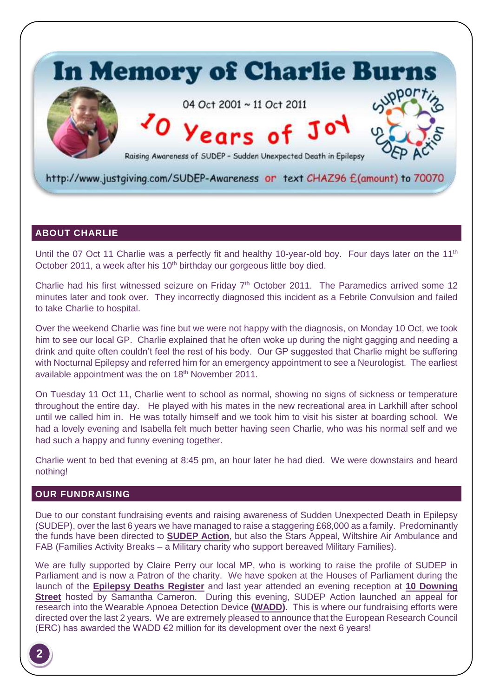

#### <span id="page-2-0"></span>**ABOUT CHARLIE**

Until the 07 Oct 11 Charlie was a perfectly fit and healthy 10-year-old boy. Four days later on the 11<sup>th</sup> October 2011, a week after his 10<sup>th</sup> birthday our gorgeous little boy died.

Charlie had his first witnessed seizure on Friday 7<sup>th</sup> October 2011. The Paramedics arrived some 12 minutes later and took over. They incorrectly diagnosed this incident as a Febrile Convulsion and failed to take Charlie to hospital.

Over the weekend Charlie was fine but we were not happy with the diagnosis, on Monday 10 Oct, we took him to see our local GP. Charlie explained that he often woke up during the night gagging and needing a drink and quite often couldn't feel the rest of his body. Our GP suggested that Charlie might be suffering with Nocturnal Epilepsy and referred him for an emergency appointment to see a Neurologist. The earliest available appointment was the on 18<sup>th</sup> November 2011.

On Tuesday 11 Oct 11, Charlie went to school as normal, showing no signs of sickness or temperature throughout the entire day. He played with his mates in the new recreational area in Larkhill after school until we called him in. He was totally himself and we took him to visit his sister at boarding school. We had a lovely evening and Isabella felt much better having seen Charlie, who was his normal self and we had such a happy and funny evening together.

Charlie went to bed that evening at 8:45 pm, an hour later he had died. We were downstairs and heard nothing!

#### <span id="page-2-1"></span>**OUR FUNDRAISING**

Due to our constant fundraising events and raising awareness of Sudden Unexpected Death in Epilepsy (SUDEP), over the last 6 years we have managed to raise a staggering £68,000 as a family. Predominantly the funds have been directed to **[SUDEP Action](https://www.sudep.org/)**, but also the Stars Appeal, Wiltshire Air Ambulance and FAB (Families Activity Breaks – a Military charity who support bereaved Military Families).

We are fully supported by Claire Perry our local MP, who is working to raise the profile of SUDEP in Parliament and is now a Patron of the charity. We have spoken at the Houses of Parliament during the launch of the **[Epilepsy Deaths Register](https://www.sudep.org/content/jan-burns-%E2%80%93-speaking-houses-parliament-4-june-2013)** and last year attended an evening reception at **[10 Downing](https://www.sudep.org/article/samantha-cameron-hosts-sudep)  [Street](https://www.sudep.org/article/samantha-cameron-hosts-sudep)** hosted by Samantha Cameron. During this evening, SUDEP Action launched an appeal for research into the Wearable Apnoea Detection Device **[\(WADD\)](https://www.sudep.org/article/wearable-apnea-detection)**. This is where our fundraising efforts were directed over the last 2 years. We are extremely pleased to announce that the European Research Council (ERC) has awarded the WADD €2 million for its development over the next 6 years!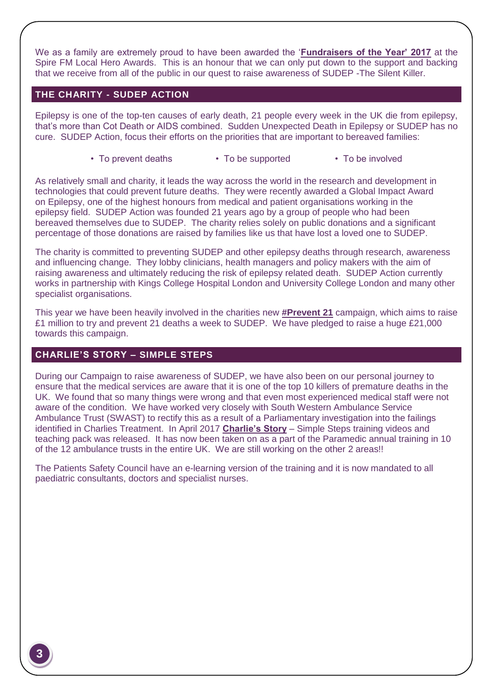We as a family are extremely proud to have been awarded the '**[Fundraisers of the Year' 2017](https://www.spirefm.co.uk/news/local-news/2204947/the-local-hero-awards---who-are-your-winners/)** at the Spire FM Local Hero Awards. This is an honour that we can only put down to the support and backing that we receive from all of the public in our quest to raise awareness of SUDEP -The Silent Killer.

#### <span id="page-3-0"></span>**THE CHARITY - SUDEP ACTION**

Epilepsy is one of the top-ten causes of early death, 21 people every week in the UK die from epilepsy, that's more than Cot Death or AIDS combined. Sudden Unexpected Death in Epilepsy or SUDEP has no cure. SUDEP Action, focus their efforts on the priorities that are important to bereaved families:

• To prevent deaths • To be supported • To be involved

As relatively small and charity, it leads the way across the world in the research and development in technologies that could prevent future deaths. They were recently awarded a Global Impact Award on Epilepsy, one of the highest honours from medical and patient organisations working in the epilepsy field. SUDEP Action was founded 21 years ago by a group of people who had been bereaved themselves due to SUDEP. The charity relies solely on public donations and a significant percentage of those donations are raised by families like us that have lost a loved one to SUDEP.

The charity is committed to preventing SUDEP and other epilepsy deaths through research, awareness and influencing change. They lobby clinicians, health managers and policy makers with the aim of raising awareness and ultimately reducing the risk of epilepsy related death. SUDEP Action currently works in partnership with Kings College Hospital London and University College London and many other specialist organisations.

This year we have been heavily involved in the charities new **[#Prevent 21](http://sudep.org/article/sudep-action-president%E2%80%99s-reception-prevent21-launch)** campaign, which aims to raise £1 million to try and prevent 21 deaths a week to SUDEP. We have pledged to raise a huge £21,000 towards this campaign.

#### <span id="page-3-1"></span>**CHARLIE'S STORY – SIMPLE STEPS**

During our Campaign to raise awareness of SUDEP, we have also been on our personal journey to ensure that the medical services are aware that it is one of the top 10 killers of premature deaths in the UK. We found that so many things were wrong and that even most experienced medical staff were not aware of the condition. We have worked very closely with South Western Ambulance Service Ambulance Trust (SWAST) to rectify this as a result of a Parliamentary investigation into the failings identified in Charlies Treatment. In April 2017 **[Charlie's Story](https://vimeopro.com/healthandcarevideos/swasft-burns-family/video/205794998)** – Simple Steps training videos and teaching pack was released. It has now been taken on as a part of the Paramedic annual training in 10 of the 12 ambulance trusts in the entire UK. We are still working on the other 2 areas!!

The Patients Safety Council have an e-learning version of the training and it is now mandated to all paediatric consultants, doctors and specialist nurses.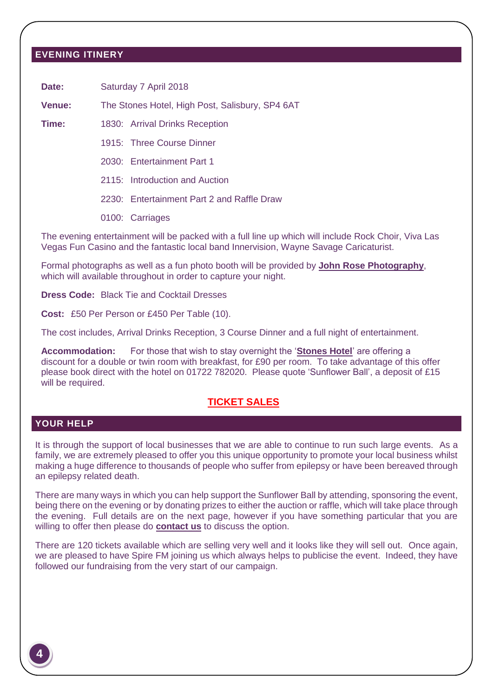#### <span id="page-4-0"></span>**EVENING ITINERY**

Date: Saturday 7 April 2018

**Venue:** The Stones Hotel, High Post, Salisbury, SP4 6AT

**Time:** 1830: Arrival Drinks Reception

1915: Three Course Dinner

2030: Entertainment Part 1

2115: Introduction and Auction

2230: Entertainment Part 2 and Raffle Draw

0100: Carriages

The evening entertainment will be packed with a full line up which will include Rock Choir, Viva Las Vegas Fun Casino and the fantastic local band Innervision, Wayne Savage Caricaturist.

Formal photographs as well as a fun photo booth will be provided by **[John Rose Photography](https://www.johnrosephotography.com/)**, which will available throughout in order to capture your night.

**Dress Code:** Black Tie and Cocktail Dresses

**Cost:** £50 Per Person or £450 Per Table (10).

The cost includes, Arrival Drinks Reception, 3 Course Dinner and a full night of entertainment.

**Accommodation:** For those that wish to stay overnight the '**[Stones Hotel](http://www.thestoneshotel.co.uk/)**' are offering a discount for a double or twin room with breakfast, for £90 per room. To take advantage of this offer please book direct with the hotel on 01722 782020. Please quote 'Sunflower Ball', a deposit of £15 will be required.

#### **[TICKET SALES](http://bazburns.wixsite.com/charliesangels/copy-of-charlie-s-story)**

#### <span id="page-4-1"></span>**YOUR HELP**

It is through the support of local businesses that we are able to continue to run such large events. As a family, we are extremely pleased to offer you this unique opportunity to promote your local business whilst making a huge difference to thousands of people who suffer from epilepsy or have been bereaved through an epilepsy related death.

There are many ways in which you can help support the Sunflower Ball by attending, sponsoring the event, being there on the evening or by donating prizes to either the auction or raffle, which will take place through the evening. Full details are on the next page, however if you have something particular that you are willing to offer then please do **[contact us](#page-6-0)** to discuss the option.

There are 120 tickets available which are selling very well and it looks like they will sell out. Once again, we are pleased to have Spire FM joining us which always helps to publicise the event. Indeed, they have followed our fundraising from the very start of our campaign.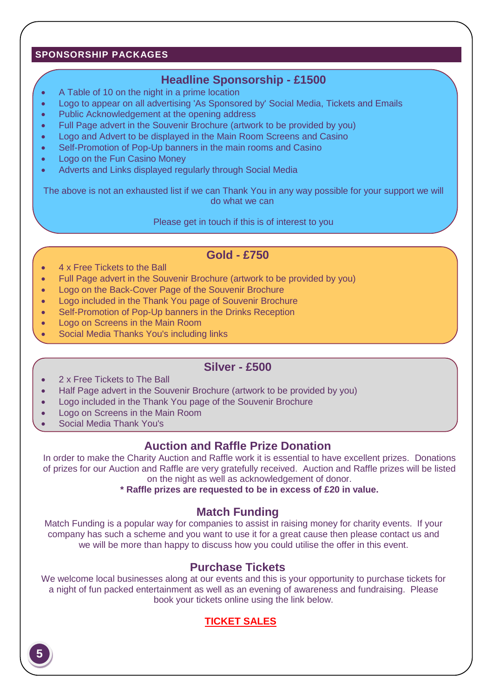#### <span id="page-5-0"></span>**SPONSORSHIP PACKAGES**

# **Headline Sponsorship - £1500**

- A Table of 10 on the night in a prime location
- Logo to appear on all advertising 'As Sponsored by' Social Media, Tickets and Emails
- Public Acknowledgement at the opening address
- Full Page advert in the Souvenir Brochure (artwork to be provided by you)
- Logo and Advert to be displayed in the Main Room Screens and Casino
- Self-Promotion of Pop-Up banners in the main rooms and Casino
- Logo on the Fun Casino Money
- Adverts and Links displayed regularly through Social Media

The above is not an exhausted list if we can Thank You in any way possible for your support we will do what we can

Please get in touch if this is of interest to you

## **Gold - £750**

- 4 x Free Tickets to the Ball
- Full Page advert in the Souvenir Brochure (artwork to be provided by you)
- Logo on the Back-Cover Page of the Souvenir Brochure
- Logo included in the Thank You page of Souvenir Brochure
- Self-Promotion of Pop-Up banners in the Drinks Reception
- Logo on Screens in the Main Room
- Social Media Thanks You's including links

## **Silver - £500**

- 2 x Free Tickets to The Ball
- Half Page advert in the Souvenir Brochure (artwork to be provided by you)
- Logo included in the Thank You page of the Souvenir Brochure
- Logo on Screens in the Main Room
- Social Media Thank You's

# **Auction and Raffle Prize Donation**

In order to make the Charity Auction and Raffle work it is essential to have excellent prizes. Donations of prizes for our Auction and Raffle are very gratefully received. Auction and Raffle prizes will be listed on the night as well as acknowledgement of donor.

**\* Raffle prizes are requested to be in excess of £20 in value.**

## **Match Funding**

Match Funding is a popular way for companies to assist in raising money for charity events. If your company has such a scheme and you want to use it for a great cause then please contact us and we will be more than happy to discuss how you could utilise the offer in this event.

# **Purchase Tickets**

We welcome local businesses along at our events and this is your opportunity to purchase tickets for a night of fun packed entertainment as well as an evening of awareness and fundraising. Please book your tickets online using the link below.

# **[TICKET SALES](http://bazburns.wixsite.com/charliesangels/copy-of-charlie-s-story)**